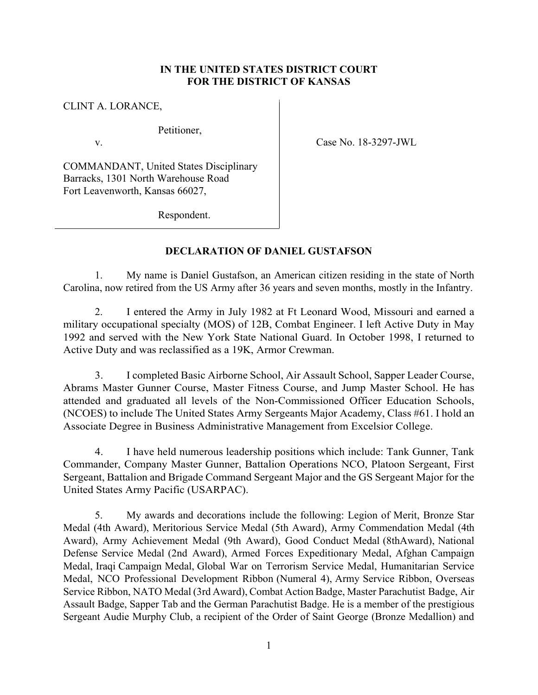## **IN THE UNITED STATES DISTRICT COURT FOR THE DISTRICT OF KANSAS**

CLINT A. LORANCE,

Petitioner,

v. Case No. 18-3297-JWL

COMMANDANT, United States Disciplinary Barracks, 1301 North Warehouse Road Fort Leavenworth, Kansas 66027,

Respondent.

## **DECLARATION OF DANIEL GUSTAFSON**

1. My name is Daniel Gustafson, an American citizen residing in the state of North Carolina, now retired from the US Army after 36 years and seven months, mostly in the Infantry.

 2. I entered the Army in July 1982 at Ft Leonard Wood, Missouri and earned a military occupational specialty (MOS) of 12B, Combat Engineer. I left Active Duty in May 1992 and served with the New York State National Guard. In October 1998, I returned to Active Duty and was reclassified as a 19K, Armor Crewman.

 3. I completed Basic Airborne School, Air Assault School, Sapper Leader Course, Abrams Master Gunner Course, Master Fitness Course, and Jump Master School. He has attended and graduated all levels of the Non-Commissioned Officer Education Schools, (NCOES) to include The United States Army Sergeants Major Academy, Class #61. I hold an Associate Degree in Business Administrative Management from Excelsior College.

 4. I have held numerous leadership positions which include: Tank Gunner, Tank Commander, Company Master Gunner, Battalion Operations NCO, Platoon Sergeant, First Sergeant, Battalion and Brigade Command Sergeant Major and the GS Sergeant Major for the United States Army Pacific (USARPAC).

 5. My awards and decorations include the following: Legion of Merit, Bronze Star Medal (4th Award), Meritorious Service Medal (5th Award), Army Commendation Medal (4th Award), Army Achievement Medal (9th Award), Good Conduct Medal (8thAward), National Defense Service Medal (2nd Award), Armed Forces Expeditionary Medal, Afghan Campaign Medal, Iraqi Campaign Medal, Global War on Terrorism Service Medal, Humanitarian Service Medal, NCO Professional Development Ribbon (Numeral 4), Army Service Ribbon, Overseas Service Ribbon, NATO Medal (3rd Award), Combat Action Badge, Master Parachutist Badge, Air Assault Badge, Sapper Tab and the German Parachutist Badge. He is a member of the prestigious Sergeant Audie Murphy Club, a recipient of the Order of Saint George (Bronze Medallion) and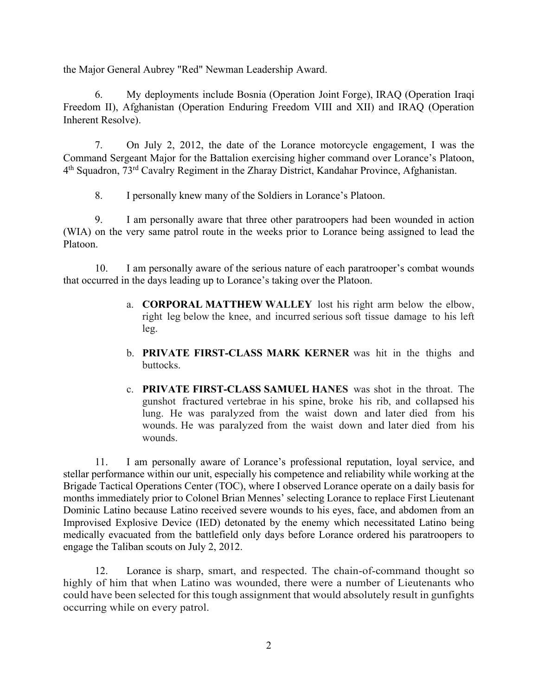the Major General Aubrey "Red" Newman Leadership Award.

 6. My deployments include Bosnia (Operation Joint Forge), IRAQ (Operation Iraqi Freedom II), Afghanistan (Operation Enduring Freedom VIII and XII) and IRAQ (Operation Inherent Resolve).

 7. On July 2, 2012, the date of the Lorance motorcycle engagement, I was the Command Sergeant Major for the Battalion exercising higher command over Lorance's Platoon, 4<sup>th</sup> Squadron, 73<sup>rd</sup> Cavalry Regiment in the Zharay District, Kandahar Province, Afghanistan.

8. I personally knew many of the Soldiers in Lorance's Platoon.

 9. I am personally aware that three other paratroopers had been wounded in action (WIA) on the very same patrol route in the weeks prior to Lorance being assigned to lead the Platoon.

 10. I am personally aware of the serious nature of each paratrooper's combat wounds that occurred in the days leading up to Lorance's taking over the Platoon.

- a. **CORPORAL MATTHEW WALLEY** lost his right arm below the elbow, right leg below the knee, and incurred serious soft tissue damage to his left leg.
- b. **PRIVATE FIRST-CLASS MARK KERNER** was hit in the thighs and buttocks.
- c. **PRIVATE FIRST-CLASS SAMUEL HANES** was shot in the throat. The gunshot fractured vertebrae in his spine, broke his rib, and collapsed his lung. He was paralyzed from the waist down and later died from his wounds. He was paralyzed from the waist down and later died from his wounds.

 11. I am personally aware of Lorance's professional reputation, loyal service, and stellar performance within our unit, especially his competence and reliability while working at the Brigade Tactical Operations Center (TOC), where I observed Lorance operate on a daily basis for months immediately prior to Colonel Brian Mennes' selecting Lorance to replace First Lieutenant Dominic Latino because Latino received severe wounds to his eyes, face, and abdomen from an Improvised Explosive Device (IED) detonated by the enemy which necessitated Latino being medically evacuated from the battlefield only days before Lorance ordered his paratroopers to engage the Taliban scouts on July 2, 2012.

 12. Lorance is sharp, smart, and respected. The chain-of-command thought so highly of him that when Latino was wounded, there were a number of Lieutenants who could have been selected for this tough assignment that would absolutely result in gunfights occurring while on every patrol.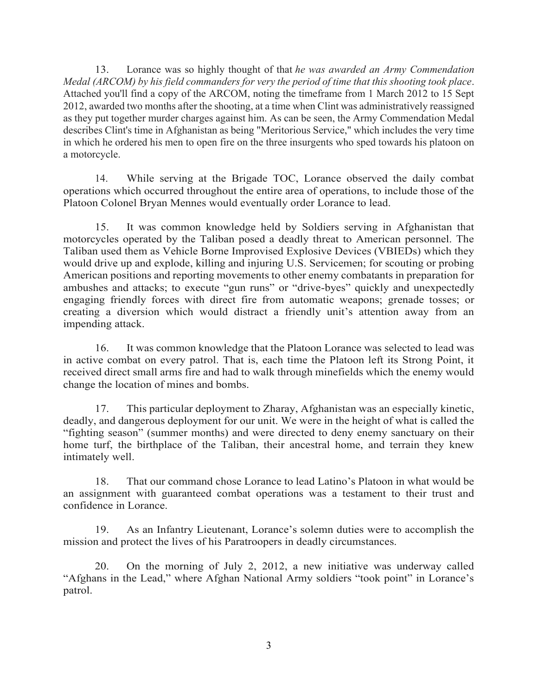13. Lorance was so highly thought of that *he was awarded an Army Commendation Medal (ARCOM) by his field commanders for very the period of time that this shooting took place*. Attached you'll find a copy of the ARCOM, noting the timeframe from 1 March 2012 to 15 Sept 2012, awarded two months after the shooting, at a time when Clint was administratively reassigned as they put together murder charges against him. As can be seen, the Army Commendation Medal describes Clint's time in Afghanistan as being "Meritorious Service," which includes the very time in which he ordered his men to open fire on the three insurgents who sped towards his platoon on a motorcycle.

 14. While serving at the Brigade TOC, Lorance observed the daily combat operations which occurred throughout the entire area of operations, to include those of the Platoon Colonel Bryan Mennes would eventually order Lorance to lead.

 15. It was common knowledge held by Soldiers serving in Afghanistan that motorcycles operated by the Taliban posed a deadly threat to American personnel. The Taliban used them as Vehicle Borne Improvised Explosive Devices (VBIEDs) which they would drive up and explode, killing and injuring U.S. Servicemen; for scouting or probing American positions and reporting movements to other enemy combatants in preparation for ambushes and attacks; to execute "gun runs" or "drive-byes" quickly and unexpectedly engaging friendly forces with direct fire from automatic weapons; grenade tosses; or creating a diversion which would distract a friendly unit's attention away from an impending attack.

 16. It was common knowledge that the Platoon Lorance was selected to lead was in active combat on every patrol. That is, each time the Platoon left its Strong Point, it received direct small arms fire and had to walk through minefields which the enemy would change the location of mines and bombs.

 17. This particular deployment to Zharay, Afghanistan was an especially kinetic, deadly, and dangerous deployment for our unit. We were in the height of what is called the "fighting season" (summer months) and were directed to deny enemy sanctuary on their home turf, the birthplace of the Taliban, their ancestral home, and terrain they knew intimately well.

 18. That our command chose Lorance to lead Latino's Platoon in what would be an assignment with guaranteed combat operations was a testament to their trust and confidence in Lorance.

 19. As an Infantry Lieutenant, Lorance's solemn duties were to accomplish the mission and protect the lives of his Paratroopers in deadly circumstances.

20. On the morning of July 2, 2012, a new initiative was underway called "Afghans in the Lead," where Afghan National Army soldiers "took point" in Lorance's patrol.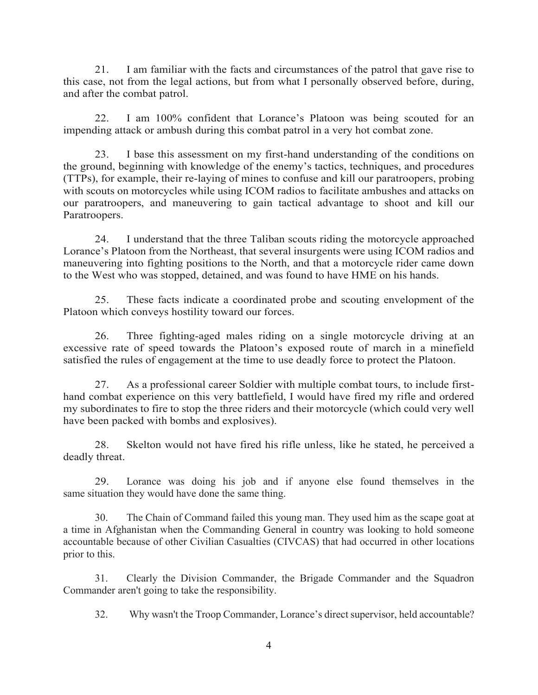21. I am familiar with the facts and circumstances of the patrol that gave rise to this case, not from the legal actions, but from what I personally observed before, during, and after the combat patrol.

 22. I am 100% confident that Lorance's Platoon was being scouted for an impending attack or ambush during this combat patrol in a very hot combat zone.

 23. I base this assessment on my first-hand understanding of the conditions on the ground, beginning with knowledge of the enemy's tactics, techniques, and procedures (TTPs), for example, their re-laying of mines to confuse and kill our paratroopers, probing with scouts on motorcycles while using ICOM radios to facilitate ambushes and attacks on our paratroopers, and maneuvering to gain tactical advantage to shoot and kill our Paratroopers.

 24. I understand that the three Taliban scouts riding the motorcycle approached Lorance's Platoon from the Northeast, that several insurgents were using ICOM radios and maneuvering into fighting positions to the North, and that a motorcycle rider came down to the West who was stopped, detained, and was found to have HME on his hands.

 25. These facts indicate a coordinated probe and scouting envelopment of the Platoon which conveys hostility toward our forces.

 26. Three fighting-aged males riding on a single motorcycle driving at an excessive rate of speed towards the Platoon's exposed route of march in a minefield satisfied the rules of engagement at the time to use deadly force to protect the Platoon.

 27. As a professional career Soldier with multiple combat tours, to include firsthand combat experience on this very battlefield, I would have fired my rifle and ordered my subordinates to fire to stop the three riders and their motorcycle (which could very well have been packed with bombs and explosives).

 28. Skelton would not have fired his rifle unless, like he stated, he perceived a deadly threat.

 29. Lorance was doing his job and if anyone else found themselves in the same situation they would have done the same thing.

 30. The Chain of Command failed this young man. They used him as the scape goat at a time in Afghanistan when the Commanding General in country was looking to hold someone accountable because of other Civilian Casualties (CIVCAS) that had occurred in other locations prior to this.

 31. Clearly the Division Commander, the Brigade Commander and the Squadron Commander aren't going to take the responsibility.

32. Why wasn't the Troop Commander, Lorance's direct supervisor, held accountable?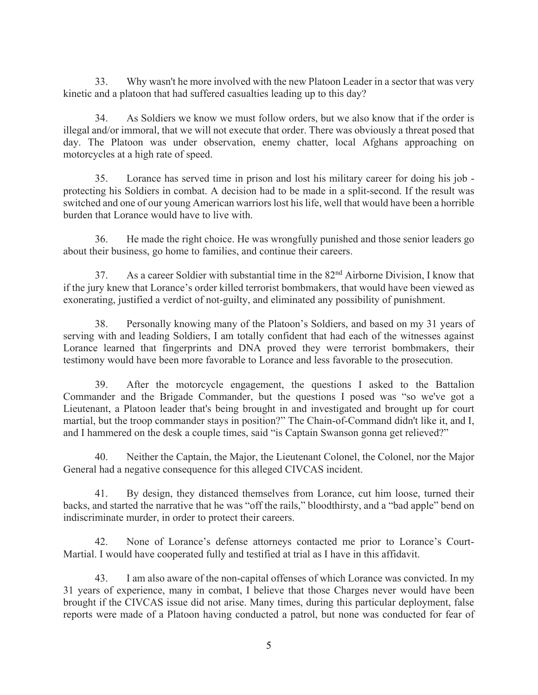33. Why wasn't he more involved with the new Platoon Leader in a sector that was very kinetic and a platoon that had suffered casualties leading up to this day?

 34. As Soldiers we know we must follow orders, but we also know that if the order is illegal and/or immoral, that we will not execute that order. There was obviously a threat posed that day. The Platoon was under observation, enemy chatter, local Afghans approaching on motorcycles at a high rate of speed.

 35. Lorance has served time in prison and lost his military career for doing his job protecting his Soldiers in combat. A decision had to be made in a split-second. If the result was switched and one of our young American warriors lost his life, well that would have been a horrible burden that Lorance would have to live with.

 36. He made the right choice. He was wrongfully punished and those senior leaders go about their business, go home to families, and continue their careers.

 37. As a career Soldier with substantial time in the 82nd Airborne Division, I know that if the jury knew that Lorance's order killed terrorist bombmakers, that would have been viewed as exonerating, justified a verdict of not-guilty, and eliminated any possibility of punishment.

 38. Personally knowing many of the Platoon's Soldiers, and based on my 31 years of serving with and leading Soldiers, I am totally confident that had each of the witnesses against Lorance learned that fingerprints and DNA proved they were terrorist bombmakers, their testimony would have been more favorable to Lorance and less favorable to the prosecution.

 39. After the motorcycle engagement, the questions I asked to the Battalion Commander and the Brigade Commander, but the questions I posed was "so we've got a Lieutenant, a Platoon leader that's being brought in and investigated and brought up for court martial, but the troop commander stays in position?" The Chain-of-Command didn't like it, and I, and I hammered on the desk a couple times, said "is Captain Swanson gonna get relieved?"

 40. Neither the Captain, the Major, the Lieutenant Colonel, the Colonel, nor the Major General had a negative consequence for this alleged CIVCAS incident.

 41. By design, they distanced themselves from Lorance, cut him loose, turned their backs, and started the narrative that he was "off the rails," bloodthirsty, and a "bad apple" bend on indiscriminate murder, in order to protect their careers.

 42. None of Lorance's defense attorneys contacted me prior to Lorance's Court-Martial. I would have cooperated fully and testified at trial as I have in this affidavit.

 43. I am also aware of the non-capital offenses of which Lorance was convicted. In my 31 years of experience, many in combat, I believe that those Charges never would have been brought if the CIVCAS issue did not arise. Many times, during this particular deployment, false reports were made of a Platoon having conducted a patrol, but none was conducted for fear of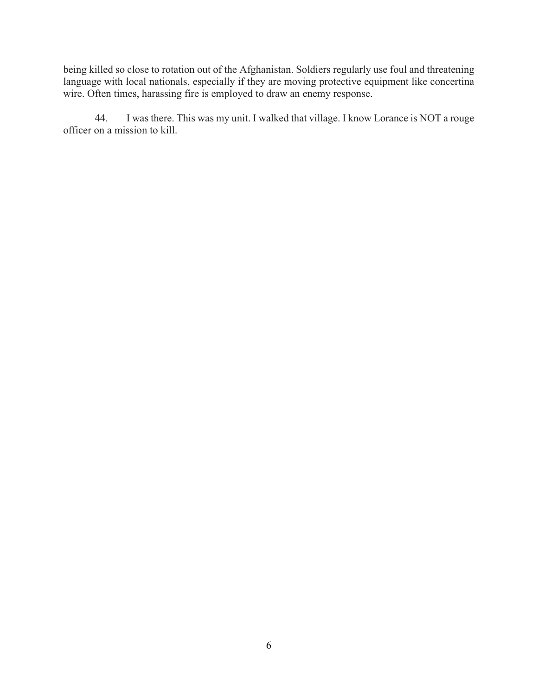being killed so close to rotation out of the Afghanistan. Soldiers regularly use foul and threatening language with local nationals, especially if they are moving protective equipment like concertina wire. Often times, harassing fire is employed to draw an enemy response.

 44. I was there. This was my unit. I walked that village. I know Lorance is NOT a rouge officer on a mission to kill.